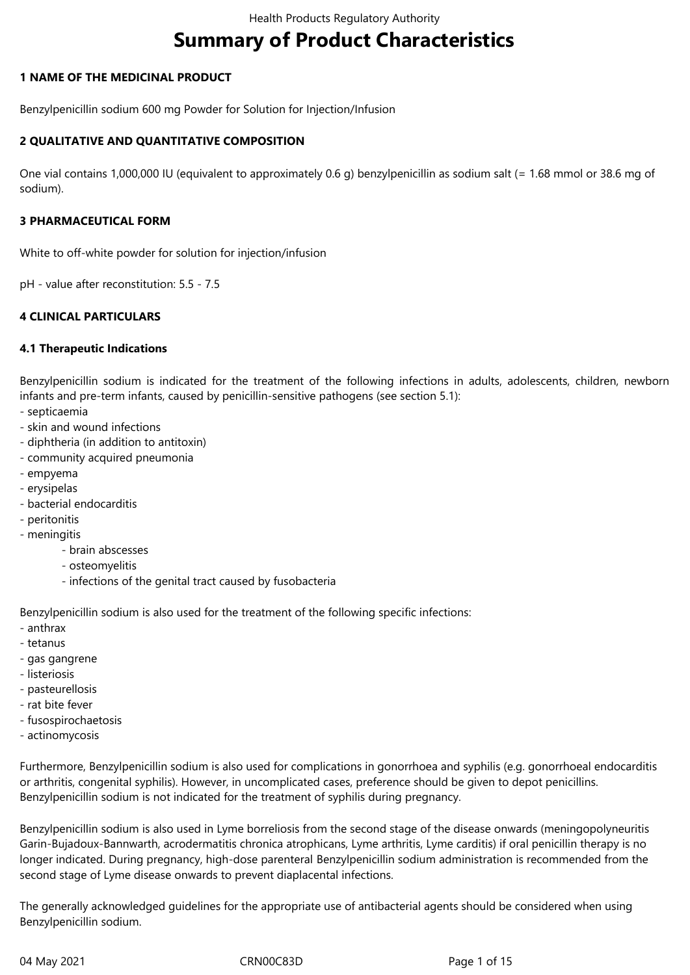# **Summary of Product Characteristics**

# **1 NAME OF THE MEDICINAL PRODUCT**

Benzylpenicillin sodium 600 mg Powder for Solution for Injection/Infusion

# **2 QUALITATIVE AND QUANTITATIVE COMPOSITION**

One vial contains 1,000,000 IU (equivalent to approximately 0.6 g) benzylpenicillin as sodium salt (= 1.68 mmol or 38.6 mg of sodium).

#### **3 PHARMACEUTICAL FORM**

White to off-white powder for solution for injection/infusion

pH - value after reconstitution: 5.5 - 7.5

# **4 CLINICAL PARTICULARS**

# **4.1 Therapeutic Indications**

Benzylpenicillin sodium is indicated for the treatment of the following infections in adults, adolescents, children, newborn infants and pre-term infants, caused by penicillin-sensitive pathogens (see section 5.1):

- septicaemia
- skin and wound infections
- diphtheria (in addition to antitoxin)
- community acquired pneumonia
- empyema
- erysipelas
- bacterial endocarditis
- peritonitis
- meningitis
	- brain abscesses
	- osteomyelitis
	- infections of the genital tract caused by fusobacteria

Benzylpenicillin sodium is also used for the treatment of the following specific infections:

- anthrax
- tetanus
- gas gangrene
- listeriosis
- pasteurellosis
- rat bite fever
- fusospirochaetosis
- actinomycosis

Furthermore, Benzylpenicillin sodium is also used for complications in gonorrhoea and syphilis (e.g. gonorrhoeal endocarditis or arthritis, congenital syphilis). However, in uncomplicated cases, preference should be given to depot penicillins. Benzylpenicillin sodium is not indicated for the treatment of syphilis during pregnancy.

Benzylpenicillin sodium is also used in Lyme borreliosis from the second stage of the disease onwards (meningopolyneuritis Garin-Bujadoux-Bannwarth, acrodermatitis chronica atrophicans, Lyme arthritis, Lyme carditis) if oral penicillin therapy is no longer indicated. During pregnancy, high-dose parenteral Benzylpenicillin sodium administration is recommended from the second stage of Lyme disease onwards to prevent diaplacental infections.

The generally acknowledged guidelines for the appropriate use of antibacterial agents should be considered when using Benzylpenicillin sodium.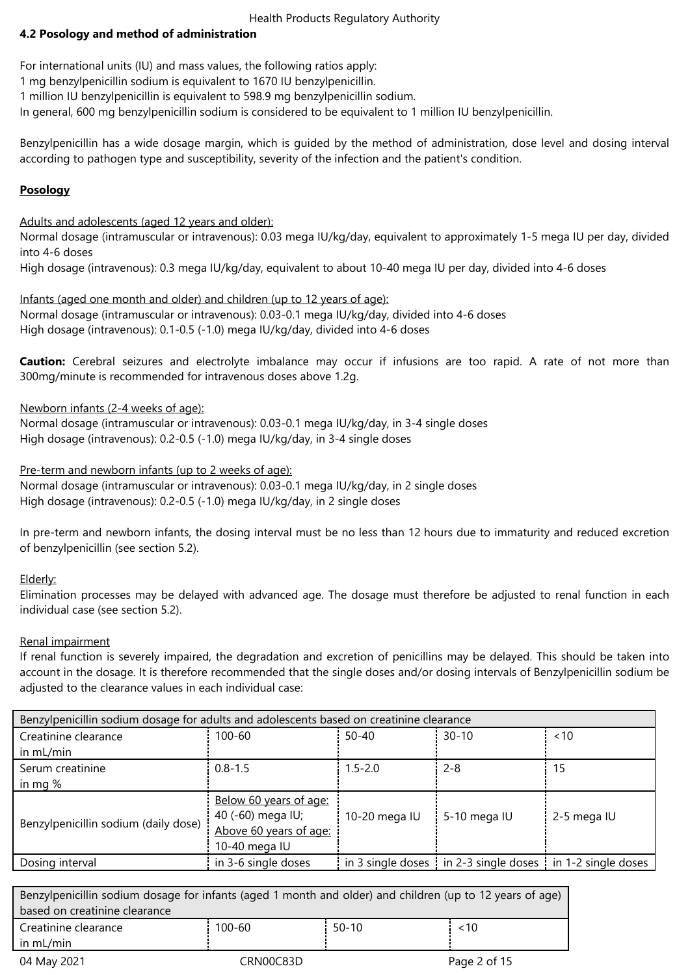# **4.2 Posology and method of administration**

For international units (IU) and mass values, the following ratios apply:

1 mg benzylpenicillin sodium is equivalent to 1670 IU benzylpenicillin.

1 million IU benzylpenicillin is equivalent to 598.9 mg benzylpenicillin sodium.

In general, 600 mg benzylpenicillin sodium is considered to be equivalent to 1 million IU benzylpenicillin.

Benzylpenicillin has a wide dosage margin, which is guided by the method of administration, dose level and dosing interval according to pathogen type and susceptibility, severity of the infection and the patient's condition.

# **Posology**

Adults and adolescents (aged 12 years and older):

Normal dosage (intramuscular or intravenous): 0.03 mega IU/kg/day, equivalent to approximately 1-5 mega IU per day, divided into 4‑6 doses

High dosage (intravenous): 0.3 mega IU/kg/day, equivalent to about 10-40 mega IU per day, divided into 4-6 doses

Infants (aged one month and older) and children (up to 12 years of age): Normal dosage (intramuscular or intravenous): 0.03-0.1 mega IU/kg/day, divided into 4-6 doses High dosage (intravenous): 0.1-0.5 (-1.0) mega IU/kg/day, divided into 4-6 doses

**Caution:** Cerebral seizures and electrolyte imbalance may occur if infusions are too rapid. A rate of not more than 300mg/minute is recommended for intravenous doses above 1.2g.

# Newborn infants (2-4 weeks of age):

Normal dosage (intramuscular or intravenous): 0.03-0.1 mega IU/kg/day, in 3-4 single doses High dosage (intravenous): 0.2-0.5 (-1.0) mega IU/kg/day, in 3-4 single doses

Pre-term and newborn infants (up to 2 weeks of age):

Normal dosage (intramuscular or intravenous): 0.03-0.1 mega IU/kg/day, in 2 single doses High dosage (intravenous): 0.2-0.5 (-1.0) mega IU/kg/day, in 2 single doses

In pre-term and newborn infants, the dosing interval must be no less than 12 hours due to immaturity and reduced excretion of benzylpenicillin (see section 5.2).

#### Elderly:

Elimination processes may be delayed with advanced age. The dosage must therefore be adjusted to renal function in each individual case (see section 5.2).

#### Renal impairment

If renal function is severely impaired, the degradation and excretion of penicillins may be delayed. This should be taken into account in the dosage. It is therefore recommended that the single doses and/or dosing intervals of Benzylpenicillin sodium be adjusted to the clearance values in each individual case:

| Benzylpenicillin sodium dosage for adults and adolescents based on creatinine clearance |                                                                                        |               |                                                               |             |  |
|-----------------------------------------------------------------------------------------|----------------------------------------------------------------------------------------|---------------|---------------------------------------------------------------|-------------|--|
| Creatinine clearance                                                                    | 100-60                                                                                 | $50 - 40$     | $30 - 10$                                                     | ~10         |  |
| in mL/min                                                                               |                                                                                        |               |                                                               |             |  |
| Serum creatinine                                                                        | $0.8 - 1.5$                                                                            | $1.5 - 2.0$   | $2 - 8$                                                       | 15          |  |
| in mg %                                                                                 |                                                                                        |               |                                                               |             |  |
| Benzylpenicillin sodium (daily dose)                                                    | Below 60 years of age:<br>40 (-60) mega IU;<br>Above 60 years of age:<br>10-40 mega IU | 10-20 mega IU | 5-10 mega IU                                                  | 2-5 mega IU |  |
| Dosing interval                                                                         | in 3-6 single doses                                                                    |               | in 3 single doses : in 2-3 single doses : in 1-2 single doses |             |  |

| Benzylpenicillin sodium dosage for infants (aged 1 month and older) and children (up to 12 years of age) |           |         |              |
|----------------------------------------------------------------------------------------------------------|-----------|---------|--------------|
| based on creatinine clearance                                                                            |           |         |              |
| Creatinine clearance                                                                                     | 100-60    | $50-10$ | ~10          |
| in mL/min                                                                                                |           |         |              |
| 04 May 2021                                                                                              | CRN00C83D |         | Page 2 of 15 |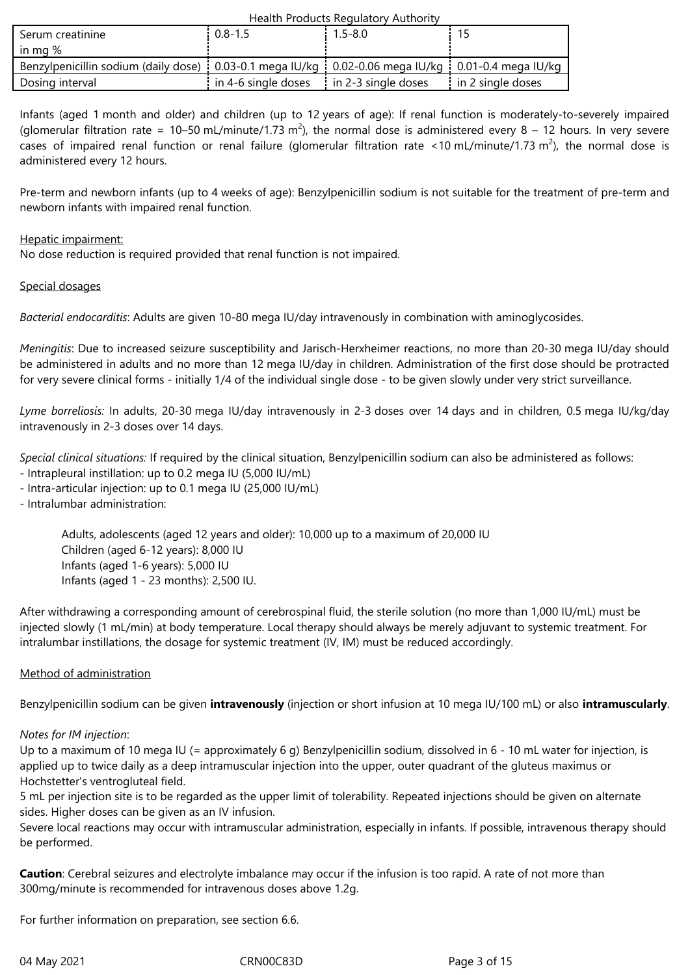| Serum creatinine                                                                                        | $0.8 - 1.5$         | 1.5-8.0               |                     |
|---------------------------------------------------------------------------------------------------------|---------------------|-----------------------|---------------------|
| in mg $%$                                                                                               |                     |                       |                     |
| Benzylpenicillin sodium (daily dose) : 0.03-0.1 mega IU/kg : 0.02-0.06 mega IU/kg : 0.01-0.4 mega IU/kg |                     |                       |                     |
| Dosing interval                                                                                         | in 4-6 single doses | i in 2-3 single doses | i in 2 single doses |

Infants (aged 1 month and older) and children (up to 12 years of age): If renal function is moderately-to-severely impaired (glomerular filtration rate = 10–50 mL/minute/1.73 m<sup>2</sup>), the normal dose is administered every 8 – 12 hours. In very severe cases of impaired renal function or renal failure (glomerular filtration rate <10 mL/minute/1.73 m<sup>2</sup>), the normal dose is administered every 12 hours.

Pre-term and newborn infants (up to 4 weeks of age): Benzylpenicillin sodium is not suitable for the treatment of pre-term and newborn infants with impaired renal function.

# Hepatic impairment:

No dose reduction is required provided that renal function is not impaired.

# Special dosages

*Bacterial endocarditis*: Adults are given 10-80 mega IU/day intravenously in combination with aminoglycosides.

*Meningitis*: Due to increased seizure susceptibility and Jarisch-Herxheimer reactions, no more than 20-30 mega IU/day should be administered in adults and no more than 12 mega IU/day in children. Administration of the first dose should be protracted for very severe clinical forms - initially 1/4 of the individual single dose - to be given slowly under very strict surveillance.

*Lyme borreliosis:* In adults, 20-30 mega IU/day intravenously in 2-3 doses over 14 days and in children, 0.5 mega IU/kg/day intravenously in 2-3 doses over 14 days.

*Special clinical situations:* If required by the clinical situation, Benzylpenicillin sodium can also be administered as follows:

- Intrapleural instillation: up to 0.2 mega IU (5,000 IU/mL)
- Intra-articular injection: up to 0.1 mega IU (25,000 IU/mL)

- Intralumbar administration:

Adults, adolescents (aged 12 years and older): 10,000 up to a maximum of 20,000 IU Children (aged 6-12 years): 8,000 IU Infants (aged 1-6 years): 5,000 IU Infants (aged 1 - 23 months): 2,500 IU.

After withdrawing a corresponding amount of cerebrospinal fluid, the sterile solution (no more than 1,000 IU/mL) must be injected slowly (1 mL/min) at body temperature. Local therapy should always be merely adjuvant to systemic treatment. For intralumbar instillations, the dosage for systemic treatment (IV, IM) must be reduced accordingly.

#### Method of administration

Benzylpenicillin sodium can be given **intravenously** (injection or short infusion at 10 mega IU/100 mL) or also **intramuscularly**.

#### *Notes for IM injection*:

Up to a maximum of 10 mega IU (= approximately 6 g) Benzylpenicillin sodium, dissolved in 6 - 10 mL water for injection, is applied up to twice daily as a deep intramuscular injection into the upper, outer quadrant of the gluteus maximus or Hochstetter's ventrogluteal field.

5 mL per injection site is to be regarded as the upper limit of tolerability. Repeated injections should be given on alternate sides. Higher doses can be given as an IV infusion.

Severe local reactions may occur with intramuscular administration, especially in infants. If possible, intravenous therapy should be performed.

**Caution**: Cerebral seizures and electrolyte imbalance may occur if the infusion is too rapid. A rate of not more than 300mg/minute is recommended for intravenous doses above 1.2g.

For further information on preparation, see section 6.6.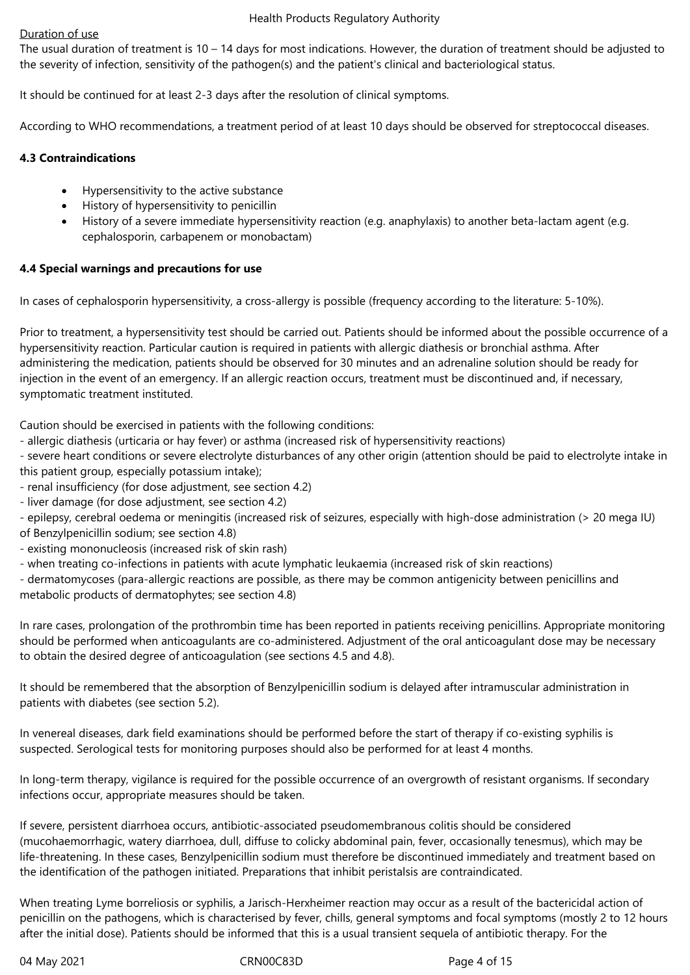# Duration of use

The usual duration of treatment is  $10 - 14$  days for most indications. However, the duration of treatment should be adjusted to the severity of infection, sensitivity of the pathogen(s) and the patient's clinical and bacteriological status.

It should be continued for at least 2-3 days after the resolution of clinical symptoms.

According to WHO recommendations, a treatment period of at least 10 days should be observed for streptococcal diseases.

# **4.3 Contraindications**

- Hypersensitivity to the active substance
- History of hypersensitivity to penicillin
- History of a severe immediate hypersensitivity reaction (e.g. anaphylaxis) to another beta-lactam agent (e.g. cephalosporin, carbapenem or monobactam)

# **4.4 Special warnings and precautions for use**

In cases of cephalosporin hypersensitivity, a cross-allergy is possible (frequency according to the literature: 5-10%).

Prior to treatment, a hypersensitivity test should be carried out. Patients should be informed about the possible occurrence of a hypersensitivity reaction. Particular caution is required in patients with allergic diathesis or bronchial asthma. After administering the medication, patients should be observed for 30 minutes and an adrenaline solution should be ready for injection in the event of an emergency. If an allergic reaction occurs, treatment must be discontinued and, if necessary, symptomatic treatment instituted.

Caution should be exercised in patients with the following conditions:

- allergic diathesis (urticaria or hay fever) or asthma (increased risk of hypersensitivity reactions)

- severe heart conditions or severe electrolyte disturbances of any other origin (attention should be paid to electrolyte intake in this patient group, especially potassium intake);

- renal insufficiency (for dose adjustment, see section 4.2)

- liver damage (for dose adjustment, see section 4.2)

- epilepsy, cerebral oedema or meningitis (increased risk of seizures, especially with high-dose administration (> 20 mega IU) of Benzylpenicillin sodium; see section 4.8)

- existing mononucleosis (increased risk of skin rash)

- when treating co-infections in patients with acute lymphatic leukaemia (increased risk of skin reactions)

- dermatomycoses (para-allergic reactions are possible, as there may be common antigenicity between penicillins and metabolic products of dermatophytes; see section 4.8)

In rare cases, prolongation of the prothrombin time has been reported in patients receiving penicillins. Appropriate monitoring should be performed when anticoagulants are co-administered. Adjustment of the oral anticoagulant dose may be necessary to obtain the desired degree of anticoagulation (see sections 4.5 and 4.8).

It should be remembered that the absorption of Benzylpenicillin sodium is delayed after intramuscular administration in patients with diabetes (see section 5.2).

In venereal diseases, dark field examinations should be performed before the start of therapy if co-existing syphilis is suspected. Serological tests for monitoring purposes should also be performed for at least 4 months.

In long-term therapy, vigilance is required for the possible occurrence of an overgrowth of resistant organisms. If secondary infections occur, appropriate measures should be taken.

If severe, persistent diarrhoea occurs, antibiotic-associated pseudomembranous colitis should be considered (mucohaemorrhagic, watery diarrhoea, dull, diffuse to colicky abdominal pain, fever, occasionally tenesmus), which may be life-threatening. In these cases, Benzylpenicillin sodium must therefore be discontinued immediately and treatment based on the identification of the pathogen initiated. Preparations that inhibit peristalsis are contraindicated.

When treating Lyme borreliosis or syphilis, a Jarisch-Herxheimer reaction may occur as a result of the bactericidal action of penicillin on the pathogens, which is characterised by fever, chills, general symptoms and focal symptoms (mostly 2 to 12 hours after the initial dose). Patients should be informed that this is a usual transient sequela of antibiotic therapy. For the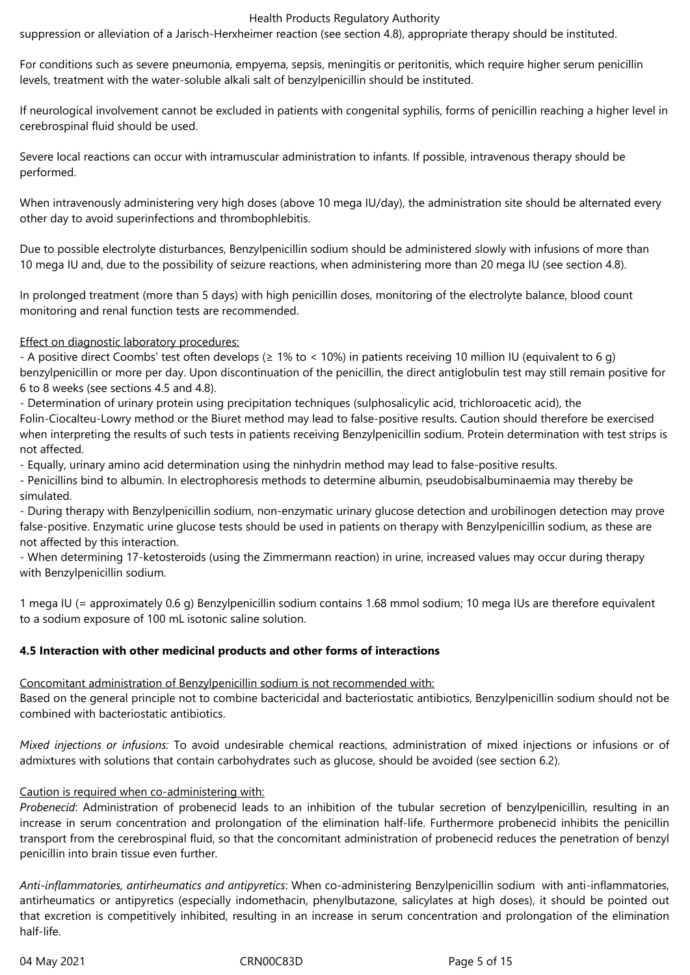suppression or alleviation of a Jarisch-Herxheimer reaction (see section 4.8), appropriate therapy should be instituted.

For conditions such as severe pneumonia, empyema, sepsis, meningitis or peritonitis, which require higher serum penicillin levels, treatment with the water-soluble alkali salt of benzylpenicillin should be instituted.

If neurological involvement cannot be excluded in patients with congenital syphilis, forms of penicillin reaching a higher level in cerebrospinal fluid should be used.

Severe local reactions can occur with intramuscular administration to infants. If possible, intravenous therapy should be performed.

When intravenously administering very high doses (above 10 mega IU/day), the administration site should be alternated every other day to avoid superinfections and thrombophlebitis.

Due to possible electrolyte disturbances, Benzylpenicillin sodium should be administered slowly with infusions of more than 10 mega IU and, due to the possibility of seizure reactions, when administering more than 20 mega IU (see section 4.8).

In prolonged treatment (more than 5 days) with high penicillin doses, monitoring of the electrolyte balance, blood count monitoring and renal function tests are recommended.

#### Effect on diagnostic laboratory procedures:

- A positive direct Coombs' test often develops (≥ 1% to < 10%) in patients receiving 10 million IU (equivalent to 6 g) benzylpenicillin or more per day. Upon discontinuation of the penicillin, the direct antiglobulin test may still remain positive for 6 to 8 weeks (see sections 4.5 and 4.8).

- Determination of urinary protein using precipitation techniques (sulphosalicylic acid, trichloroacetic acid), the Folin-Ciocalteu-Lowry method or the Biuret method may lead to false-positive results. Caution should therefore be exercised when interpreting the results of such tests in patients receiving Benzylpenicillin sodium. Protein determination with test strips is not affected.

- Equally, urinary amino acid determination using the ninhydrin method may lead to false-positive results.

- Penicillins bind to albumin. In electrophoresis methods to determine albumin, pseudobisalbuminaemia may thereby be simulated.

- During therapy with Benzylpenicillin sodium, non-enzymatic urinary glucose detection and urobilinogen detection may prove false-positive. Enzymatic urine glucose tests should be used in patients on therapy with Benzylpenicillin sodium, as these are not affected by this interaction.

- When determining 17-ketosteroids (using the Zimmermann reaction) in urine, increased values may occur during therapy with Benzylpenicillin sodium.

1 mega IU (= approximately 0.6 g) Benzylpenicillin sodium contains 1.68 mmol sodium; 10 mega IUs are therefore equivalent to a sodium exposure of 100 mL isotonic saline solution.

#### **4.5 Interaction with other medicinal products and other forms of interactions**

Concomitant administration of Benzylpenicillin sodium is not recommended with:

Based on the general principle not to combine bactericidal and bacteriostatic antibiotics, Benzylpenicillin sodium should not be combined with bacteriostatic antibiotics.

*Mixed injections or infusions:* To avoid undesirable chemical reactions, administration of mixed injections or infusions or of admixtures with solutions that contain carbohydrates such as glucose, should be avoided (see section 6.2).

#### Caution is required when co-administering with:

*Probenecid*: Administration of probenecid leads to an inhibition of the tubular secretion of benzylpenicillin, resulting in an increase in serum concentration and prolongation of the elimination half-life. Furthermore probenecid inhibits the penicillin transport from the cerebrospinal fluid, so that the concomitant administration of probenecid reduces the penetration of benzyl penicillin into brain tissue even further.

*Anti-inflammatories, antirheumatics and antipyretics*: When co-administering Benzylpenicillin sodium with anti-inflammatories, antirheumatics or antipyretics (especially indomethacin, phenylbutazone, salicylates at high doses), it should be pointed out that excretion is competitively inhibited, resulting in an increase in serum concentration and prolongation of the elimination half-life.

04 May 2021 CRN00C83D Page 5 of 15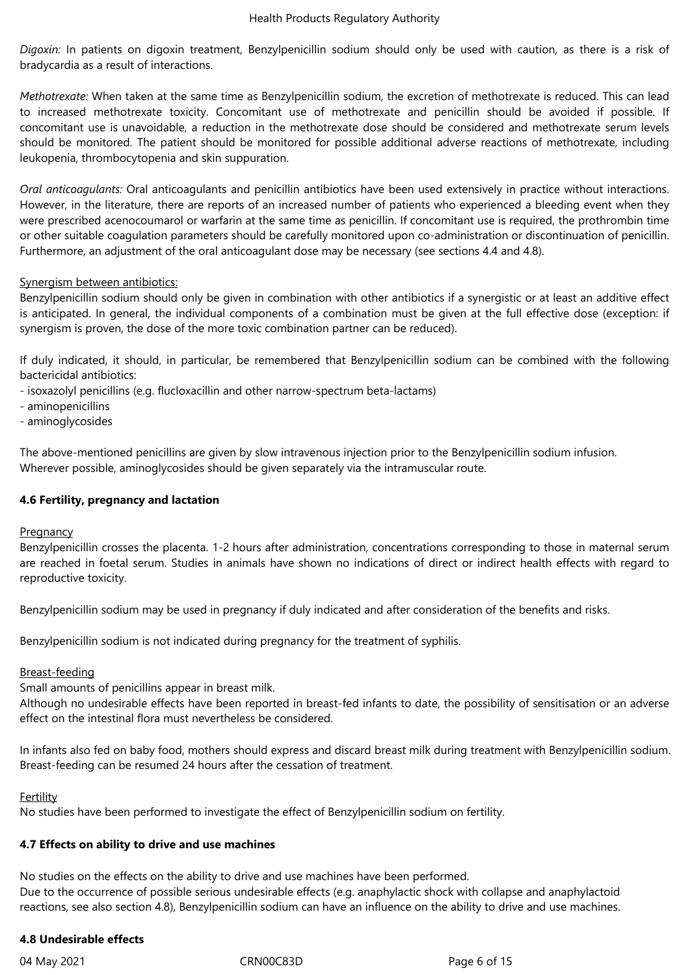*Digoxin:* In patients on digoxin treatment, Benzylpenicillin sodium should only be used with caution, as there is a risk of bradycardia as a result of interactions.

*Methotrexate:* When taken at the same time as Benzylpenicillin sodium, the excretion of methotrexate is reduced. This can lead to increased methotrexate toxicity. Concomitant use of methotrexate and penicillin should be avoided if possible. If concomitant use is unavoidable, a reduction in the methotrexate dose should be considered and methotrexate serum levels should be monitored. The patient should be monitored for possible additional adverse reactions of methotrexate, including leukopenia, thrombocytopenia and skin suppuration.

*Oral anticoagulants:* Oral anticoagulants and penicillin antibiotics have been used extensively in practice without interactions. However, in the literature, there are reports of an increased number of patients who experienced a bleeding event when they were prescribed acenocoumarol or warfarin at the same time as penicillin. If concomitant use is required, the prothrombin time or other suitable coagulation parameters should be carefully monitored upon co-administration or discontinuation of penicillin. Furthermore, an adjustment of the oral anticoagulant dose may be necessary (see sections 4.4 and 4.8).

# Synergism between antibiotics:

Benzylpenicillin sodium should only be given in combination with other antibiotics if a synergistic or at least an additive effect is anticipated. In general, the individual components of a combination must be given at the full effective dose (exception: if synergism is proven, the dose of the more toxic combination partner can be reduced).

If duly indicated, it should, in particular, be remembered that Benzylpenicillin sodium can be combined with the following bactericidal antibiotics:

- isoxazolyl penicillins (e.g. flucloxacillin and other narrow-spectrum beta-lactams)
- aminopenicillins
- aminoglycosides

The above-mentioned penicillins are given by slow intravenous injection prior to the Benzylpenicillin sodium infusion. Wherever possible, aminoglycosides should be given separately via the intramuscular route.

#### **4.6 Fertility, pregnancy and lactation**

#### **Pregnancy**

Benzylpenicillin crosses the placenta. 1-2 hours after administration, concentrations corresponding to those in maternal serum are reached in foetal serum. Studies in animals have shown no indications of direct or indirect health effects with regard to reproductive toxicity.

Benzylpenicillin sodium may be used in pregnancy if duly indicated and after consideration of the benefits and risks.

Benzylpenicillin sodium is not indicated during pregnancy for the treatment of syphilis.

# Breast-feeding

Small amounts of penicillins appear in breast milk.

Although no undesirable effects have been reported in breast-fed infants to date, the possibility of sensitisation or an adverse effect on the intestinal flora must nevertheless be considered.

In infants also fed on baby food, mothers should express and discard breast milk during treatment with Benzylpenicillin sodium. Breast-feeding can be resumed 24 hours after the cessation of treatment.

#### Fertility

No studies have been performed to investigate the effect of Benzylpenicillin sodium on fertility.

# **4.7 Effects on ability to drive and use machines**

No studies on the effects on the ability to drive and use machines have been performed. Due to the occurrence of possible serious undesirable effects (e.g. anaphylactic shock with collapse and anaphylactoid reactions, see also section 4.8), Benzylpenicillin sodium can have an influence on the ability to drive and use machines.

#### **4.8 Undesirable effects**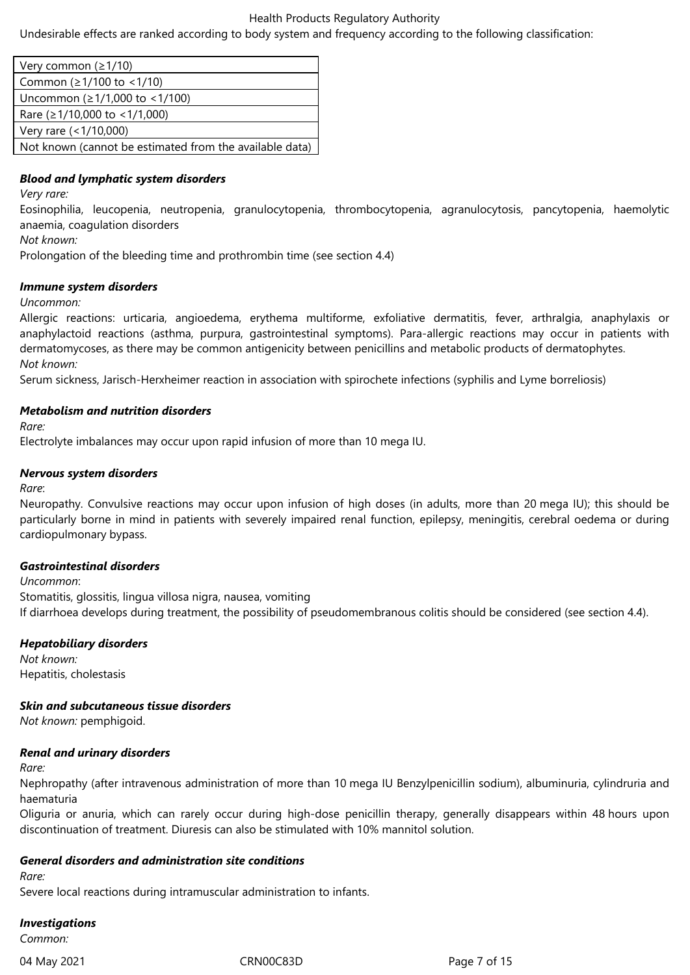Undesirable effects are ranked according to body system and frequency according to the following classification:

| Very common ( $\geq 1/10$ )                             |
|---------------------------------------------------------|
| Common ( $\geq$ 1/100 to < 1/10)                        |
| Uncommon (≥1/1,000 to <1/100)                           |
| Rare ( $\geq$ 1/10,000 to < 1/1,000)                    |
| Very rare $($ < 1/10,000)                               |
| Not known (cannot be estimated from the available data) |

## *Blood and lymphatic system disorders*

*Very rare:*

Eosinophilia, leucopenia, neutropenia, granulocytopenia, thrombocytopenia, agranulocytosis, pancytopenia, haemolytic anaemia, coagulation disorders

*Not known:*

Prolongation of the bleeding time and prothrombin time (see section 4.4)

#### *Immune system disorders*

#### *Uncommon:*

Allergic reactions: urticaria, angioedema, erythema multiforme, exfoliative dermatitis, fever, arthralgia, anaphylaxis or anaphylactoid reactions (asthma, purpura, gastrointestinal symptoms). Para-allergic reactions may occur in patients with dermatomycoses, as there may be common antigenicity between penicillins and metabolic products of dermatophytes. *Not known:*

Serum sickness, Jarisch-Herxheimer reaction in association with spirochete infections (syphilis and Lyme borreliosis)

# *Metabolism and nutrition disorders*

*Rare:*

Electrolyte imbalances may occur upon rapid infusion of more than 10 mega IU.

# *Nervous system disorders*

*Rare*:

Neuropathy. Convulsive reactions may occur upon infusion of high doses (in adults, more than 20 mega IU); this should be particularly borne in mind in patients with severely impaired renal function, epilepsy, meningitis, cerebral oedema or during cardiopulmonary bypass.

#### *Gastrointestinal disorders*

*Uncommon*: Stomatitis, glossitis, lingua villosa nigra, nausea, vomiting If diarrhoea develops during treatment, the possibility of pseudomembranous colitis should be considered (see section 4.4).

#### *Hepatobiliary disorders*

*Not known:* Hepatitis, cholestasis

*Skin and subcutaneous tissue disorders*

*Not known:* pemphigoid.

#### *Renal and urinary disorders*

*Rare:*

Nephropathy (after intravenous administration of more than 10 mega IU Benzylpenicillin sodium), albuminuria, cylindruria and haematuria

Oliguria or anuria, which can rarely occur during high-dose penicillin therapy, generally disappears within 48 hours upon discontinuation of treatment. Diuresis can also be stimulated with 10% mannitol solution.

#### *General disorders and administration site conditions*

*Rare:*

Severe local reactions during intramuscular administration to infants.

#### *Investigations*

*Common:*

04 May 2021 CRN00C83D Page 7 of 15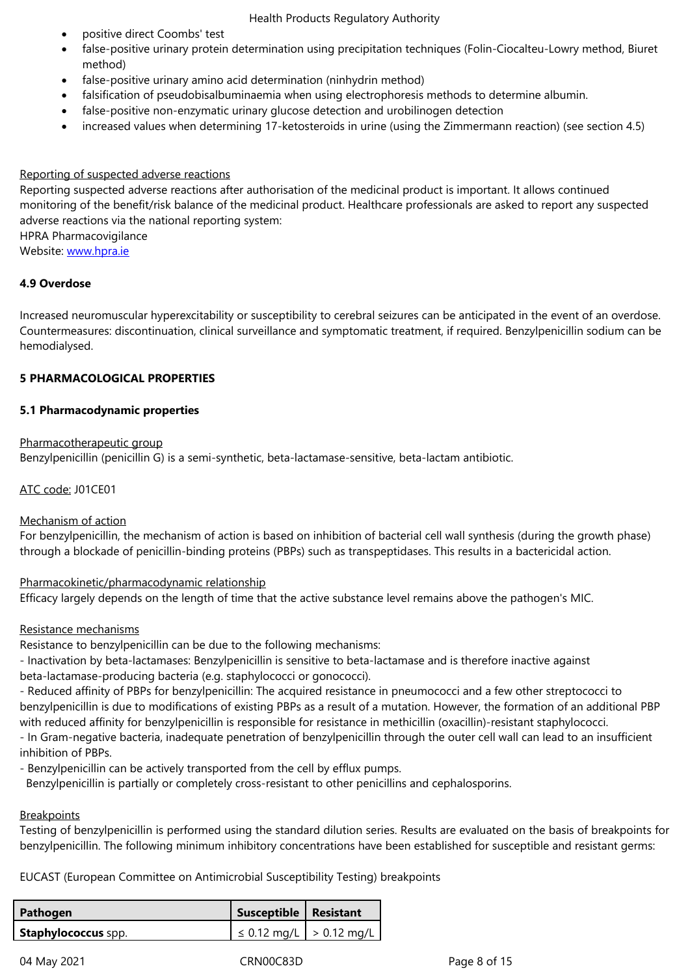- method)
- false-positive urinary amino acid determination (ninhydrin method)
- falsification of pseudobisalbuminaemia when using electrophoresis methods to determine albumin.
- false-positive non-enzymatic urinary glucose detection and urobilinogen detection
- increased values when determining 17-ketosteroids in urine (using the Zimmermann reaction) (see section 4.5)

#### Reporting of suspected adverse reactions

Reporting suspected adverse reactions after authorisation of the medicinal product is important. It allows continued monitoring of the benefit/risk balance of the medicinal product. Healthcare professionals are asked to report any suspected adverse reactions via the national reporting system:

HPRA Pharmacovigilance

Website: www.hpra.ie

#### **4.9 Overdose**

Increase[d neuromuscu](http://www.hpra.ie/)lar hyperexcitability or susceptibility to cerebral seizures can be anticipated in the event of an overdose. Countermeasures: discontinuation, clinical surveillance and symptomatic treatment, if required. Benzylpenicillin sodium can be hemodialysed.

#### **5 PHARMACOLOGICAL PROPERTIES**

#### **5.1 Pharmacodynamic properties**

#### Pharmacotherapeutic group

Benzylpenicillin (penicillin G) is a semi-synthetic, beta-lactamase-sensitive, beta-lactam antibiotic.

### ATC code: J01CE01

#### Mechanism of action

For benzylpenicillin, the mechanism of action is based on inhibition of bacterial cell wall synthesis (during the growth phase) through a blockade of penicillin-binding proteins (PBPs) such as transpeptidases. This results in a bactericidal action.

#### Pharmacokinetic/pharmacodynamic relationship

Efficacy largely depends on the length of time that the active substance level remains above the pathogen's MIC.

## Resistance mechanisms

Resistance to benzylpenicillin can be due to the following mechanisms:

- Inactivation by beta-lactamases: Benzylpenicillin is sensitive to beta-lactamase and is therefore inactive against beta-lactamase-producing bacteria (e.g. staphylococci or gonococci).

- Reduced affinity of PBPs for benzylpenicillin: The acquired resistance in pneumococci and a few other streptococci to benzylpenicillin is due to modifications of existing PBPs as a result of a mutation. However, the formation of an additional PBP with reduced affinity for benzylpenicillin is responsible for resistance in methicillin (oxacillin)-resistant staphylococci.

- In Gram-negative bacteria, inadequate penetration of benzylpenicillin through the outer cell wall can lead to an insufficient inhibition of PBPs.

- Benzylpenicillin can be actively transported from the cell by efflux pumps.

Benzylpenicillin is partially or completely cross-resistant to other penicillins and cephalosporins.

### **Breakpoints**

Testing of benzylpenicillin is performed using the standard dilution series. Results are evaluated on the basis of breakpoints for benzylpenicillin. The following minimum inhibitory concentrations have been established for susceptible and resistant germs:

EUCAST (European Committee on Antimicrobial Susceptibility Testing) breakpoints

| Pathogen                   | Susceptible   Resistant            |  |
|----------------------------|------------------------------------|--|
| <b>Staphylococcus</b> spp. | $  \leq 0.12$ mg/L $  > 0.12$ mg/L |  |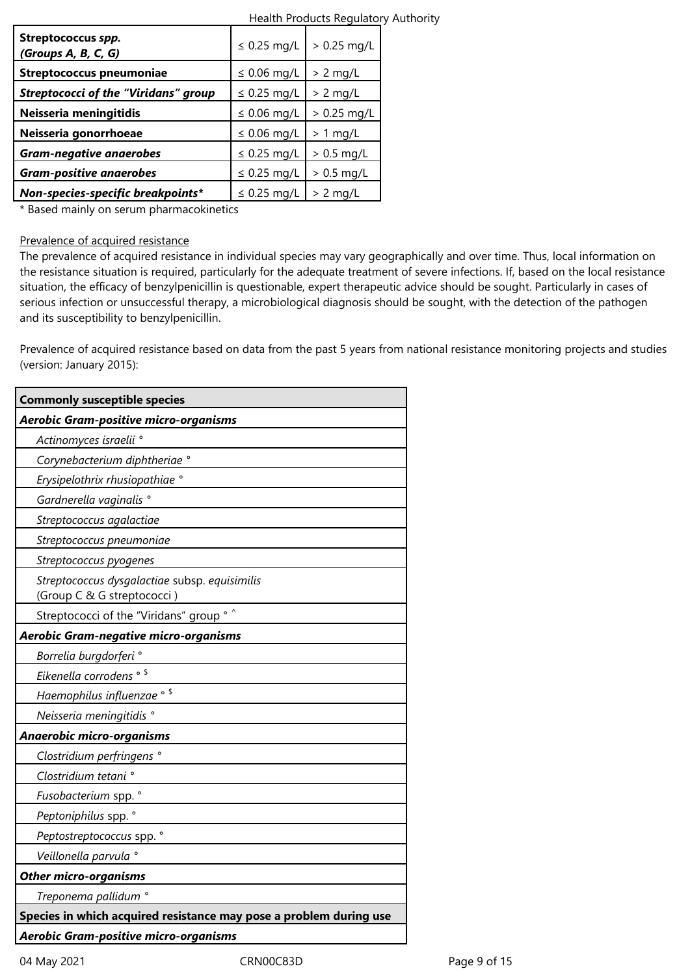| Streptococcus spp.<br>(Groups A, B, C, G)   | $\leq$ 0.25 mg/L | $> 0.25$ mg/L |
|---------------------------------------------|------------------|---------------|
| <b>Streptococcus pneumoniae</b>             | $\leq$ 0.06 mg/L | $> 2$ mg/L    |
| <b>Streptococci of the "Viridans" group</b> | $\leq$ 0.25 mg/L | $> 2$ mg/L    |
| Neisseria meningitidis                      | $\leq$ 0.06 mg/L | $> 0.25$ mg/L |
| Neisseria gonorrhoeae                       | $\leq$ 0.06 mg/L | $> 1$ mg/L    |
| <b>Gram-negative anaerobes</b>              | $\leq$ 0.25 mg/L | $> 0.5$ mg/L  |
| <b>Gram-positive anaerobes</b>              | $\leq$ 0.25 mg/L | $> 0.5$ mg/L  |
| Non-species-specific breakpoints*           | $\leq$ 0.25 mg/L | $> 2$ mg/L    |

\* Based mainly on serum pharmacokinetics

#### Prevalence of acquired resistance

The prevalence of acquired resistance in individual species may vary geographically and over time. Thus, local information on the resistance situation is required, particularly for the adequate treatment of severe infections. If, based on the local resistance situation, the efficacy of benzylpenicillin is questionable, expert therapeutic advice should be sought. Particularly in cases of serious infection or unsuccessful therapy, a microbiological diagnosis should be sought, with the detection of the pathogen and its susceptibility to benzylpenicillin.

Prevalence of acquired resistance based on data from the past 5 years from national resistance monitoring projects and studies (version: January 2015):

| <b>Commonly susceptible species</b>                                         |
|-----------------------------------------------------------------------------|
| Aerobic Gram-positive micro-organisms                                       |
| Actinomyces israelii °                                                      |
| Corynebacterium diphtheriae °                                               |
| Erysipelothrix rhusiopathiae °                                              |
| Gardnerella vaginalis <sup>°</sup>                                          |
| Streptococcus agalactiae                                                    |
| Streptococcus pneumoniae                                                    |
| Streptococcus pyogenes                                                      |
| Streptococcus dysgalactiae subsp. equisimilis<br>(Group C & G streptococci) |
| Streptococci of the "Viridans" group ° ^                                    |
| Aerobic Gram-negative micro-organisms                                       |
| Borrelia burgdorferi °                                                      |
| Eikenella corrodens <sup>® \$</sup>                                         |
| Haemophilus influenzae ° \$                                                 |
| Neisseria meningitidis °                                                    |
| Anaerobic micro-organisms                                                   |
| Clostridium perfringens °                                                   |
| Clostridium tetani °                                                        |
| Fusobacterium spp. °                                                        |
| Peptoniphilus spp. °                                                        |
| Peptostreptococcus spp. °                                                   |
| Veillonella parvula °                                                       |
| <b>Other micro-organisms</b>                                                |
| Treponema pallidum °                                                        |
| Species in which acquired resistance may pose a problem during use          |
| Aerobic Gram-positive micro-organisms                                       |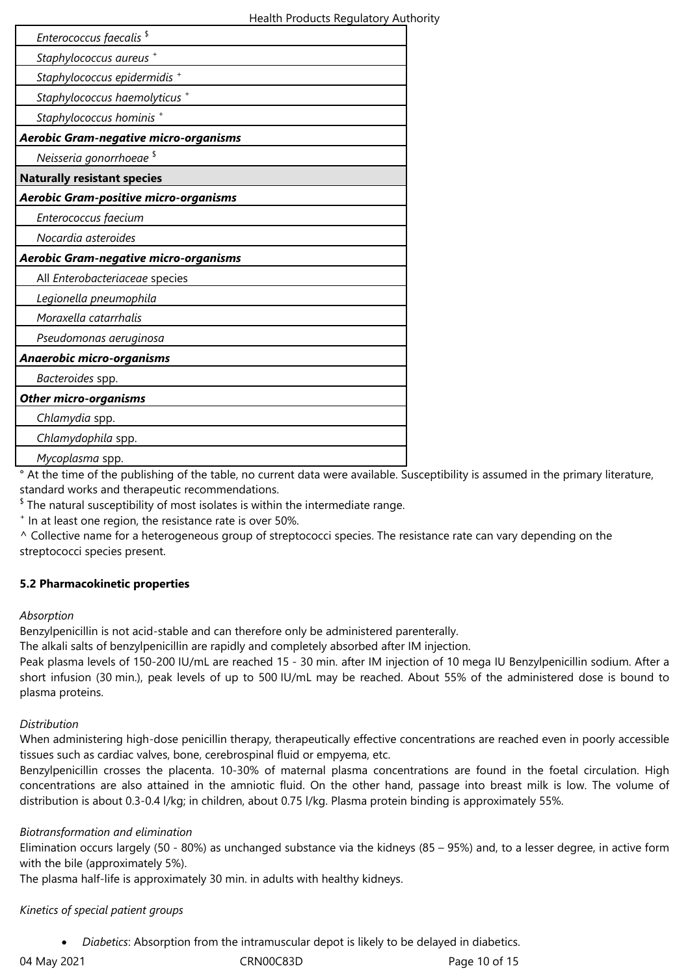| Enterococcus faecalis <sup>\$</sup>          |  |
|----------------------------------------------|--|
| Staphylococcus aureus +                      |  |
| Staphylococcus epidermidis <sup>+</sup>      |  |
| Staphylococcus haemolyticus +                |  |
| Staphylococcus hominis +                     |  |
| <b>Aerobic Gram-negative micro-organisms</b> |  |
| Neisseria gonorrhoeae <sup>\$</sup>          |  |
| <b>Naturally resistant species</b>           |  |
| Aerobic Gram-positive micro-organisms        |  |
| Enterococcus faecium                         |  |
| Nocardia asteroides                          |  |
| <b>Aerobic Gram-negative micro-organisms</b> |  |
| All Enterobacteriaceae species               |  |
| Legionella pneumophila                       |  |
| Moraxella catarrhalis                        |  |
| Pseudomonas aeruginosa                       |  |
| Anaerobic micro-organisms                    |  |
| Bacteroides spp.                             |  |
|                                              |  |
| <b>Other micro-organisms</b>                 |  |
| Chlamydia spp.                               |  |
| Chlamydophila spp.                           |  |

° At the time of the publishing of the table, no current data were available. Susceptibility is assumed in the primary literature, standard works and therapeutic recommendations.

 $^{\$}$  The natural susceptibility of most isolates is within the intermediate range.

+ In at least one region, the resistance rate is over 50%.

^ Collective name for a heterogeneous group of streptococci species. The resistance rate can vary depending on the streptococci species present.

# **5.2 Pharmacokinetic properties**

# *Absorption*

Benzylpenicillin is not acid-stable and can therefore only be administered parenterally.

The alkali salts of benzylpenicillin are rapidly and completely absorbed after IM injection.

Peak plasma levels of 150-200 IU/mL are reached 15 - 30 min. after IM injection of 10 mega IU Benzylpenicillin sodium. After a short infusion (30 min.), peak levels of up to 500 IU/mL may be reached. About 55% of the administered dose is bound to plasma proteins.

# *Distribution*

When administering high-dose penicillin therapy, therapeutically effective concentrations are reached even in poorly accessible tissues such as cardiac valves, bone, cerebrospinal fluid or empyema, etc.

Benzylpenicillin crosses the placenta. 10-30% of maternal plasma concentrations are found in the foetal circulation. High concentrations are also attained in the amniotic fluid. On the other hand, passage into breast milk is low. The volume of distribution is about 0.3-0.4 l/kg; in children, about 0.75 l/kg. Plasma protein binding is approximately 55%.

# *Biotransformation and elimination*

Elimination occurs largely (50 - 80%) as unchanged substance via the kidneys (85 – 95%) and, to a lesser degree, in active form with the bile (approximately 5%).

The plasma half-life is approximately 30 min. in adults with healthy kidneys.

# *Kinetics of special patient groups*

*Diabetics*: Absorption from the intramuscular depot is likely to be delayed in diabetics.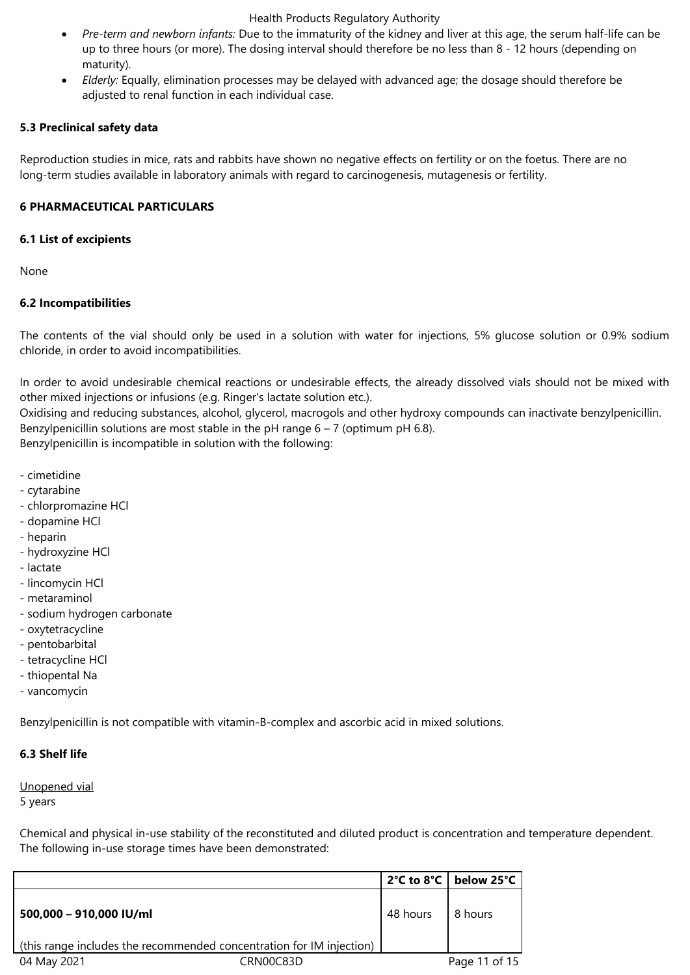- *Pre-term and newborn infants:* Due to the immaturity of the kidney and liver at this age, the serum half-life can be up to three hours (or more). The dosing interval should therefore be no less than 8 - 12 hours (depending on maturity).
- *Elderly:* Equally, elimination processes may be delayed with advanced age; the dosage should therefore be adjusted to renal function in each individual case.

## **5.3 Preclinical safety data**

Reproduction studies in mice, rats and rabbits have shown no negative effects on fertility or on the foetus. There are no long-term studies available in laboratory animals with regard to carcinogenesis, mutagenesis or fertility.

# **6 PHARMACEUTICAL PARTICULARS**

#### **6.1 List of excipients**

None

# **6.2 Incompatibilities**

The contents of the vial should only be used in a solution with water for injections, 5% glucose solution or 0.9% sodium chloride, in order to avoid incompatibilities.

In order to avoid undesirable chemical reactions or undesirable effects, the already dissolved vials should not be mixed with other mixed injections or infusions (e.g. Ringer's lactate solution etc.).

Oxidising and reducing substances, alcohol, glycerol, macrogols and other hydroxy compounds can inactivate benzylpenicillin. Benzylpenicillin solutions are most stable in the pH range  $6 - 7$  (optimum pH 6.8). Benzylpenicillin is incompatible in solution with the following:

- cimetidine
- cytarabine
- chlorpromazine HCl
- dopamine HCl
- heparin
- hydroxyzine HCl
- lactate
- lincomycin HCl
- metaraminol
- sodium hydrogen carbonate
- oxytetracycline
- pentobarbital
- tetracycline HCl
- thiopental Na
- vancomycin

Benzylpenicillin is not compatible with vitamin-B-complex and ascorbic acid in mixed solutions.

#### **6.3 Shelf life**

Unopened vial

5 years

Chemical and physical in-use stability of the reconstituted and diluted product is concentration and temperature dependent. The following in-use storage times have been demonstrated:

|                                                                                                 |           |          | 2°C to 8°C   below 25°C |
|-------------------------------------------------------------------------------------------------|-----------|----------|-------------------------|
| 500,000 - 910,000 IU/ml<br>(this range includes the recommended concentration for IM injection) |           | 48 hours | 8 hours                 |
| 04 May 2021                                                                                     | CRN00C83D |          | Page 11 of 15           |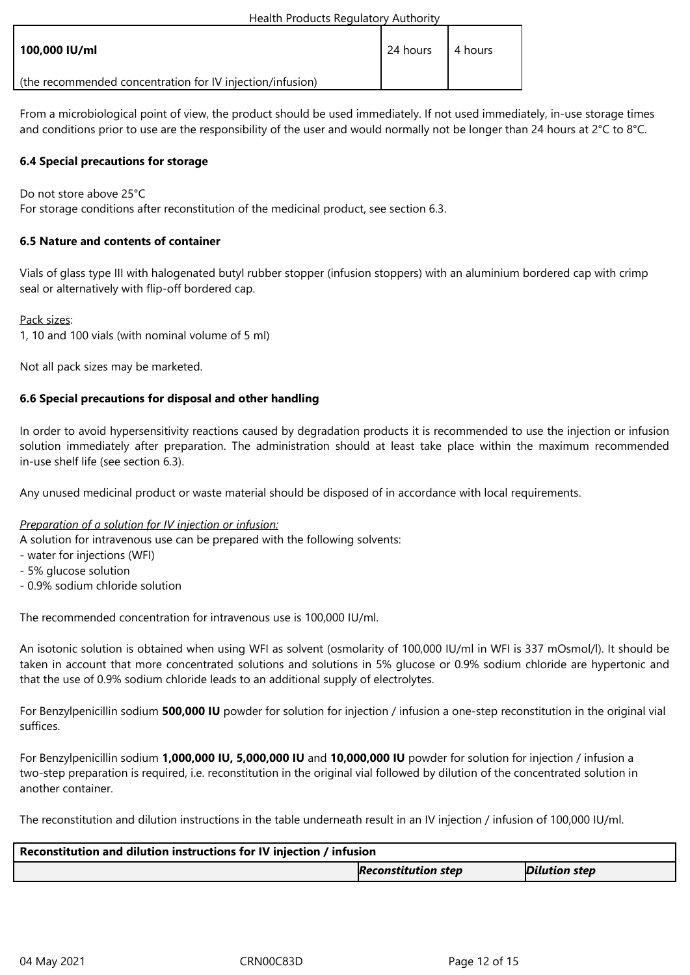| 100,000 IU/ml                                             | 24 hours | . 4 hours |
|-----------------------------------------------------------|----------|-----------|
| (the recommended concentration for IV injection/infusion) |          |           |

From a microbiological point of view, the product should be used immediately. If not used immediately, in-use storage times and conditions prior to use are the responsibility of the user and would normally not be longer than 24 hours at 2°C to 8°C.

# **6.4 Special precautions for storage**

Do not store above 25°C

For storage conditions after reconstitution of the medicinal product, see section 6.3.

# **6.5 Nature and contents of container**

Vials of glass type III with halogenated butyl rubber stopper (infusion stoppers) with an aluminium bordered cap with crimp seal or alternatively with flip-off bordered cap.

Pack sizes:

1, 10 and 100 vials (with nominal volume of 5 ml)

Not all pack sizes may be marketed.

# **6.6 Special precautions for disposal and other handling**

In order to avoid hypersensitivity reactions caused by degradation products it is recommended to use the injection or infusion solution immediately after preparation. The administration should at least take place within the maximum recommended in-use shelf life (see section 6.3).

Any unused medicinal product or waste material should be disposed of in accordance with local requirements.

### *Preparation of a solution for IV injection or infusion:*

A solution for intravenous use can be prepared with the following solvents:

- water for injections (WFI)
- 5% glucose solution
- 0.9% sodium chloride solution

The recommended concentration for intravenous use is 100,000 IU/ml.

An isotonic solution is obtained when using WFI as solvent (osmolarity of 100,000 IU/ml in WFI is 337 mOsmol/l). It should be taken in account that more concentrated solutions and solutions in 5% glucose or 0.9% sodium chloride are hypertonic and that the use of 0.9% sodium chloride leads to an additional supply of electrolytes.

For Benzylpenicillin sodium **500,000 IU** powder for solution for injection / infusion a one-step reconstitution in the original vial suffices.

For Benzylpenicillin sodium **1,000,000 IU, 5,000,000 IU** and **10,000,000 IU** powder for solution for injection / infusion a two-step preparation is required, i.e. reconstitution in the original vial followed by dilution of the concentrated solution in another container.

The reconstitution and dilution instructions in the table underneath result in an IV injection / infusion of 100,000 IU/ml.

| Reconstitution and dilution instructions for IV injection / infusion |                            |                      |  |
|----------------------------------------------------------------------|----------------------------|----------------------|--|
|                                                                      | <b>Reconstitution step</b> | <b>Dilution step</b> |  |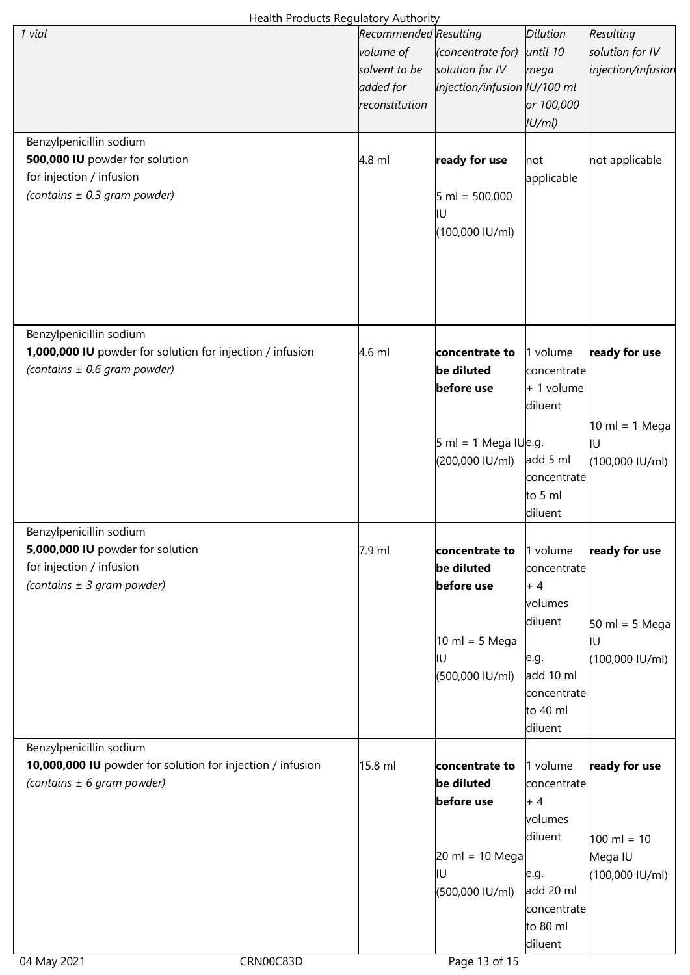| Health Products Regulatory Authority                       |                       |                                    |             |                                  |
|------------------------------------------------------------|-----------------------|------------------------------------|-------------|----------------------------------|
| 1 vial                                                     | Recommended Resulting |                                    | Dilution    | Resulting                        |
|                                                            | volume of             | (concentrate for)                  | until 10    | solution for IV                  |
|                                                            | solvent to be         | solution for IV                    | mega        | injection/infusion               |
|                                                            | added for             | injection/infusion IU/100 ml       |             |                                  |
|                                                            | reconstitution        |                                    | or 100,000  |                                  |
|                                                            |                       |                                    | U/ml        |                                  |
|                                                            |                       |                                    |             |                                  |
| Benzylpenicillin sodium                                    |                       |                                    |             |                                  |
| 500,000 IU powder for solution                             | 4.8 ml                | ready for use                      | not         | not applicable                   |
| for injection / infusion                                   |                       |                                    | applicable  |                                  |
| (contains $\pm$ 0.3 gram powder)                           |                       | $5 \text{ ml} = 500,000$           |             |                                  |
|                                                            |                       | ļΙU                                |             |                                  |
|                                                            |                       | (100,000 IU/ml)                    |             |                                  |
|                                                            |                       |                                    |             |                                  |
|                                                            |                       |                                    |             |                                  |
|                                                            |                       |                                    |             |                                  |
|                                                            |                       |                                    |             |                                  |
|                                                            |                       |                                    |             |                                  |
| Benzylpenicillin sodium                                    |                       |                                    |             |                                  |
| 1,000,000 IU powder for solution for injection / infusion  | $4.6$ ml              |                                    |             |                                  |
|                                                            |                       | concentrate to                     | 1 volume    | ready for use                    |
| (contains $\pm$ 0.6 gram powder)                           |                       | be diluted                         | concentrate |                                  |
|                                                            |                       | before use                         | + 1 volume  |                                  |
|                                                            |                       |                                    | diluent     |                                  |
|                                                            |                       |                                    |             | 10 ml = 1 Mega                   |
|                                                            |                       | $5$ ml = 1 Mega IU e.g.            |             | ļΙU                              |
|                                                            |                       | (200,000 IU/ml)                    | add 5 ml    | (100,000 IU/ml)                  |
|                                                            |                       |                                    | concentrate |                                  |
|                                                            |                       |                                    | to 5 ml     |                                  |
|                                                            |                       |                                    | diluent     |                                  |
| Benzylpenicillin sodium                                    |                       |                                    |             |                                  |
| 5,000,000 IU powder for solution                           | 7.9 ml                | concentrate to                     | 1 volume    | ready for use                    |
|                                                            |                       |                                    |             |                                  |
| for injection / infusion                                   |                       | be diluted                         | concentrate |                                  |
| (contains $\pm$ 3 gram powder)                             |                       | before use                         | $+4$        |                                  |
|                                                            |                       |                                    | volumes     |                                  |
|                                                            |                       |                                    | diluent     | $50 \text{ ml} = 5 \text{ Mega}$ |
|                                                            |                       | $10 \text{ ml} = 5 \text{ Mega}$   |             | lΙU                              |
|                                                            |                       | ļΙU                                | e.g.        | (100,000 IU/ml)                  |
|                                                            |                       | (500,000 IU/ml)                    | add 10 ml   |                                  |
|                                                            |                       |                                    | concentrate |                                  |
|                                                            |                       |                                    | to 40 ml    |                                  |
|                                                            |                       |                                    | diluent     |                                  |
| Benzylpenicillin sodium                                    |                       |                                    |             |                                  |
| 10,000,000 IU powder for solution for injection / infusion | 15.8 ml               | concentrate to                     | 1 volume    | ready for use                    |
| (contains $\pm$ 6 gram powder)                             |                       | be diluted                         | concentrate |                                  |
|                                                            |                       | before use                         | $+4$        |                                  |
|                                                            |                       |                                    |             |                                  |
|                                                            |                       |                                    | volumes     |                                  |
|                                                            |                       |                                    | diluent     | $100 \text{ ml} = 10$            |
|                                                            |                       | $20 \text{ ml} = 10 \text{ Megal}$ |             | Mega IU                          |
|                                                            |                       | ļΙU                                | e.g.        | (100,000 IU/ml)                  |
|                                                            |                       | (500,000 IU/ml)                    | add 20 ml   |                                  |
|                                                            |                       |                                    | concentrate |                                  |
|                                                            |                       |                                    | to 80 ml    |                                  |
|                                                            |                       |                                    | diluent     |                                  |
| 04 May 2021<br>CRN00C83D                                   |                       | Page 13 of 15                      |             |                                  |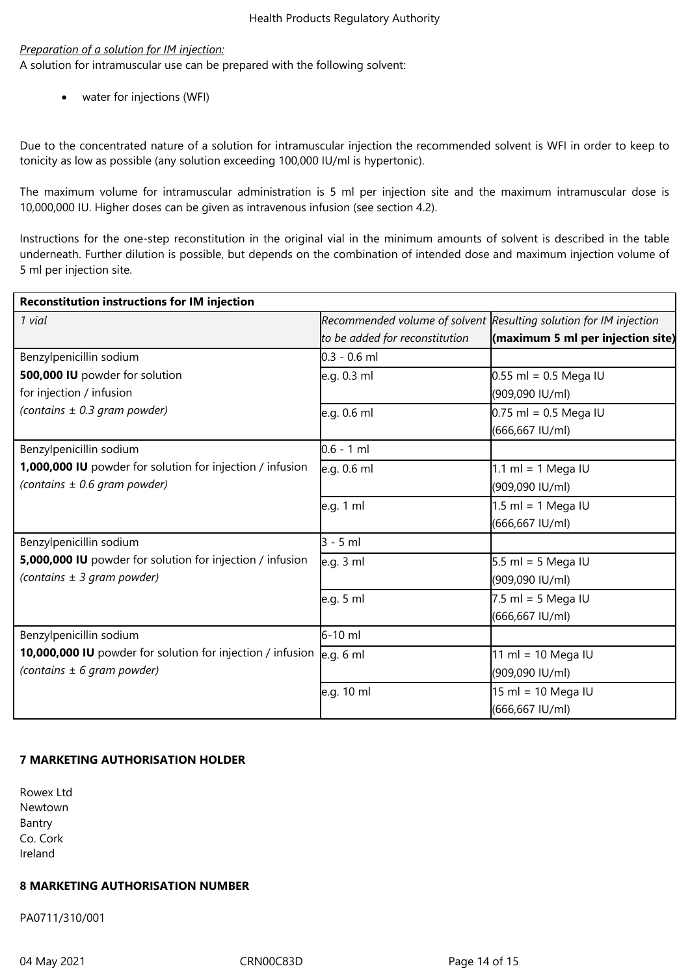### *Preparation of a solution for IM injection:*

A solution for intramuscular use can be prepared with the following solvent:

water for injections (WFI)

Due to the concentrated nature of a solution for intramuscular injection the recommended solvent is WFI in order to keep to tonicity as low as possible (any solution exceeding 100,000 IU/ml is hypertonic).

The maximum volume for intramuscular administration is 5 ml per injection site and the maximum intramuscular dose is 10,000,000 IU. Higher doses can be given as intravenous infusion (see section 4.2).

Instructions for the one-step reconstitution in the original vial in the minimum amounts of solvent is described in the table underneath. Further dilution is possible, but depends on the combination of intended dose and maximum injection volume of 5 ml per injection site.

| <b>Reconstitution instructions for IM injection</b>                   |                                |                                                                   |
|-----------------------------------------------------------------------|--------------------------------|-------------------------------------------------------------------|
| 1 vial                                                                |                                | Recommended volume of solvent Resulting solution for IM injection |
|                                                                       | to be added for reconstitution | $\left  \right $ (maximum 5 ml per injection site)                |
| Benzylpenicillin sodium                                               | $0.3 - 0.6$ ml                 |                                                                   |
| 500,000 IU powder for solution                                        | e.g. 0.3 ml                    | $0.55$ ml = 0.5 Mega IU                                           |
| for injection / infusion                                              |                                | (909,090 IU/ml)                                                   |
| (contains $\pm$ 0.3 gram powder)                                      | e.g. 0.6 ml                    | $0.75$ ml = 0.5 Mega IU                                           |
|                                                                       |                                | (666,667 IU/ml)                                                   |
| Benzylpenicillin sodium                                               | $0.6 - 1$ ml                   |                                                                   |
| 1,000,000 IU powder for solution for injection / infusion             | e.g. 0.6 ml                    | 1.1 ml = 1 Mega IU                                                |
| (contains ± 0.6 gram powder)                                          |                                | (909,090 IU/ml)                                                   |
|                                                                       | e.g. 1 ml                      | $1.5$ ml = 1 Mega IU                                              |
|                                                                       |                                | (666,667 IU/ml)                                                   |
| Benzylpenicillin sodium                                               | $3 - 5$ ml                     |                                                                   |
| 5,000,000 IU powder for solution for injection / infusion             | e.g. 3 ml                      | $5.5$ ml = 5 Mega IU                                              |
| (contains $\pm$ 3 gram powder)                                        |                                | (909,090 IU/ml)                                                   |
|                                                                       | e.g. 5 ml                      | $7.5$ ml = 5 Mega IU                                              |
|                                                                       |                                | (666,667 IU/ml)                                                   |
| Benzylpenicillin sodium                                               | $6-10$ ml                      |                                                                   |
| 10,000,000 IU powder for solution for injection / infusion  e.g. 6 ml |                                | 11 ml = 10 Mega IU                                                |
| (contains $\pm$ 6 gram powder)                                        |                                | (909,090 IU/ml)                                                   |
|                                                                       | e.g. 10 ml                     | $15 \text{ ml} = 10 \text{ Mega IU}$                              |
|                                                                       |                                | (666,667 IU/ml)                                                   |

# **7 MARKETING AUTHORISATION HOLDER**

Rowex Ltd Newtown Bantry Co. Cork Ireland

# **8 MARKETING AUTHORISATION NUMBER**

PA0711/310/001